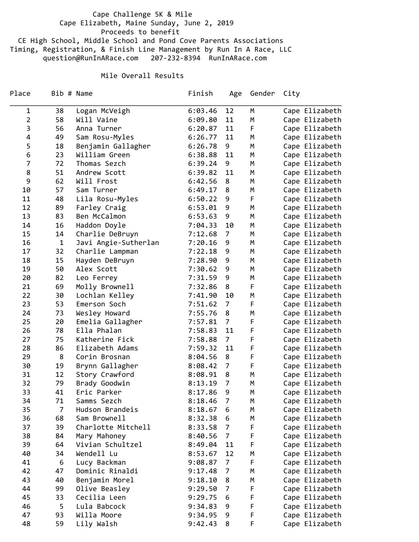Cape Challenge 5K & Mile Cape Elizabeth, Maine Sunday, June 2, 2019 Proceeds to benefit CE High School, Middle School and Pond Cove Parents Associations Timing, Registration, & Finish Line Management by Run In A Race, LLC question@RunInARace.com 207‐232‐8394 RunInARace.com

## Mile Overall Results

| Place          | Bib # Name     |                      | Finish  | Age            | Gender | City           |
|----------------|----------------|----------------------|---------|----------------|--------|----------------|
| 1              | 38             | Logan McVeigh        | 6:03.46 | 12             | M      | Cape Elizabeth |
| $\overline{2}$ | 58             | Will Vaine           | 6:09.80 | 11             | M      | Cape Elizabeth |
| 3              | 56             | Anna Turner          | 6:20.87 | 11             | F      | Cape Elizabeth |
| 4              | 49             | Sam Rosu-Myles       | 6:26.77 | 11             | М      | Cape Elizabeth |
| 5              | 18             | Benjamin Gallagher   | 6:26.78 | 9              | М      | Cape Elizabeth |
| 6              | 23             | William Green        | 6:38.88 | 11             | М      | Cape Elizabeth |
| 7              | 72             | Thomas Sezch         | 6:39.24 | 9              | М      | Cape Elizabeth |
| 8              | 51             | Andrew Scott         | 6:39.82 | 11             | М      | Cape Elizabeth |
| 9              | 62             | Will Frost           | 6:42.56 | 8              | М      | Cape Elizabeth |
| 10             | 57             | Sam Turner           | 6:49.17 | 8              | М      | Cape Elizabeth |
| 11             | 48             | Lila Rosu-Myles      | 6:50.22 | 9              | F      | Cape Elizabeth |
| 12             | 89             | Farley Craig         | 6:53.01 | 9              | М      | Cape Elizabeth |
| 13             | 83             | Ben McCalmon         | 6:53.63 | 9              | M      | Cape Elizabeth |
| 14             | 16             | Haddon Doyle         | 7:04.33 | 10             | М      | Cape Elizabeth |
| 15             | 14             | Charlie DeBruyn      | 7:12.68 | $\overline{7}$ | М      | Cape Elizabeth |
| 16             | $\mathbf 1$    | Javi Angie-Sutherlan | 7:20.16 | 9              | М      | Cape Elizabeth |
| 17             | 32             | Charlie Lampman      | 7:22.18 | 9              | М      | Cape Elizabeth |
| 18             | 15             | Hayden DeBruyn       | 7:28.90 | 9              | М      | Cape Elizabeth |
| 19             | 50             | Alex Scott           | 7:30.62 | 9              | М      | Cape Elizabeth |
| 20             | 82             | Leo Ferrey           | 7:31.59 | 9              | М      | Cape Elizabeth |
| 21             | 69             | Molly Brownell       | 7:32.86 | 8              | F      | Cape Elizabeth |
| 22             | 30             | Lochlan Kelley       | 7:41.90 | 10             | М      | Cape Elizabeth |
| 23             | 53             | Emerson Soch         | 7:51.62 | 7              | F      | Cape Elizabeth |
| 24             | 73             | Wesley Howard        | 7:55.76 | 8              | М      | Cape Elizabeth |
| 25             | 20             | Emelia Gallagher     | 7:57.81 | 7              | F      | Cape Elizabeth |
| 26             | 78             | Ella Phalan          | 7:58.83 | 11             | F      | Cape Elizabeth |
| 27             | 75             | Katherine Fick       | 7:58.88 | $\overline{7}$ | F      | Cape Elizabeth |
| 28             | 86             | Elizabeth Adams      | 7:59.32 | 11             | F      | Cape Elizabeth |
| 29             | 8              | Corin Brosnan        | 8:04.56 | 8              | F      | Cape Elizabeth |
| 30             | 19             | Brynn Gallagher      | 8:08.42 | 7              | F      | Cape Elizabeth |
| 31             | 12             | Story Crawford       | 8:08.91 | 8              | M      | Cape Elizabeth |
| 32             | 79             | Brady Goodwin        | 8:13.19 | $\overline{7}$ | М      | Cape Elizabeth |
| 33             | 41             | Eric Parker          | 8:17.86 | 9              | М      | Cape Elizabeth |
| 34             | 71             | Samms Sezch          | 8:18.46 | $\overline{7}$ | M      | Cape Elizabeth |
| 35             | $\overline{7}$ | Hudson Brandeis      | 8:18.67 | 6              | М      | Cape Elizabeth |
| 36             | 68             | Sam Brownell         | 8:32.38 | 6              | М      | Cape Elizabeth |
| 37             | 39             | Charlotte Mitchell   | 8:33.58 | 7              | F      | Cape Elizabeth |
| 38             | 84             | Mary Mahoney         | 8:40.56 | $\overline{7}$ | F      | Cape Elizabeth |
| 39             | 64             | Vivian Schultzel     | 8:49.04 | 11             | F      | Cape Elizabeth |
| 40             | 34             | Wendell Lu           | 8:53.67 | 12             | М      | Cape Elizabeth |
| 41             | 6              | Lucy Backman         | 9:08.87 | 7              | F      | Cape Elizabeth |
| 42             | 47             | Dominic Rinaldi      | 9:17.48 | 7              | Μ      | Cape Elizabeth |
| 43             | 40             | Benjamin Morel       | 9:18.10 | 8              | М      | Cape Elizabeth |
| 44             | 99             | Olive Beasley        | 9:29.50 | 7              | F      | Cape Elizabeth |
| 45             | 33             | Cecilia Leen         | 9:29.75 | 6              | F      | Cape Elizabeth |
| 46             | 5              | Lula Babcock         | 9:34.83 | 9              | F      | Cape Elizabeth |
| 47             | 93             | Willa Moore          | 9:34.95 | 9              | F      | Cape Elizabeth |
| 48             | 59             | Lily Walsh           | 9:42.43 | 8              | F      | Cape Elizabeth |